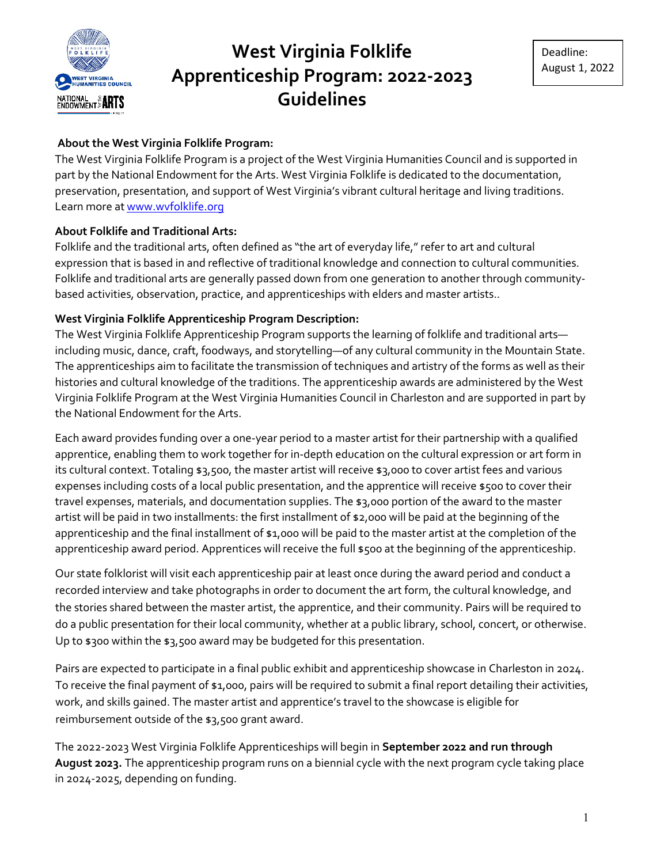

## **About the West Virginia Folklife Program:**

The West Virginia Folklife Program is a project of the West Virginia Humanities Council and is supported in part by the National Endowment for the Arts. West Virginia Folklife is dedicated to the documentation, preservation, presentation, and support of West Virginia's vibrant cultural heritage and living traditions. Learn more a[t www.wvfolklife.org](http://www.wvfolklife.org/)

### **About Folklife and Traditional Arts:**

Folklife and the traditional arts, often defined as "the art of everyday life," refer to art and cultural expression that is based in and reflective of traditional knowledge and connection to cultural communities. Folklife and traditional arts are generally passed down from one generation to another through communitybased activities, observation, practice, and apprenticeships with elders and master artists..

## **West Virginia Folklife Apprenticeship Program Description:**

The West Virginia Folklife Apprenticeship Program supports the learning of folklife and traditional arts including music, dance, craft, foodways, and storytelling—of any cultural community in the Mountain State. The apprenticeships aim to facilitate the transmission of techniques and artistry of the forms as well as their histories and cultural knowledge of the traditions. The apprenticeship awards are administered by the West Virginia Folklife Program at the West Virginia Humanities Council in Charleston and are supported in part by the National Endowment for the Arts.

Each award provides funding over a one-year period to a master artist for their partnership with a qualified apprentice, enabling them to work together for in-depth education on the cultural expression or art form in its cultural context. Totaling \$3,500, the master artist will receive \$3,000 to cover artist fees and various expenses including costs of a local public presentation, and the apprentice will receive \$500 to cover their travel expenses, materials, and documentation supplies. The \$3,000 portion of the award to the master artist will be paid in two installments: the first installment of \$2,000 will be paid at the beginning of the apprenticeship and the final installment of \$1,000 will be paid to the master artist at the completion of the apprenticeship award period. Apprentices will receive the full \$500 at the beginning of the apprenticeship.

Our state folklorist will visit each apprenticeship pair at least once during the award period and conduct a recorded interview and take photographs in order to document the art form, the cultural knowledge, and the stories shared between the master artist, the apprentice, and their community. Pairs will be required to do a public presentation for their local community, whether at a public library, school, concert, or otherwise. Up to \$300 within the \$3,500 award may be budgeted for this presentation.

Pairs are expected to participate in a final public exhibit and apprenticeship showcase in Charleston in 2024. To receive the final payment of \$1,000, pairs will be required to submit a final report detailing their activities, work, and skills gained. The master artist and apprentice's travel to the showcase is eligible for reimbursement outside of the \$3,500 grant award.

The 2022-2023 West Virginia Folklife Apprenticeships will begin in **September 2022 and run through August 2023.** The apprenticeship program runs on a biennial cycle with the next program cycle taking place in 2024-2025, depending on funding.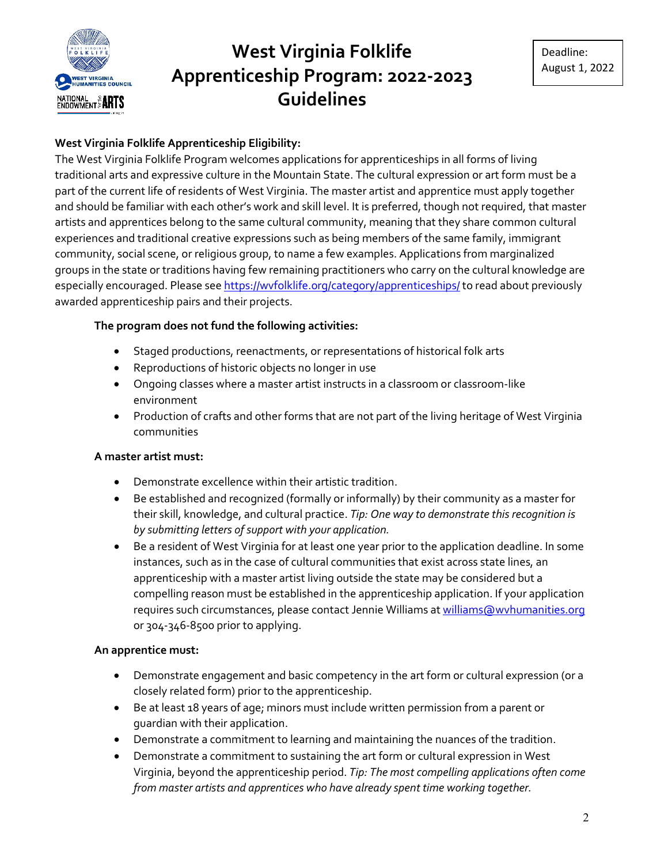

## **West Virginia Folklife Apprenticeship Eligibility:**

The West Virginia Folklife Program welcomes applications for apprenticeships in all forms of living traditional arts and expressive culture in the Mountain State. The cultural expression or art form must be a part of the current life of residents of West Virginia. The master artist and apprentice must apply together and should be familiar with each other's work and skill level. It is preferred, though not required, that master artists and apprentices belong to the same cultural community, meaning that they share common cultural experiences and traditional creative expressions such as being members of the same family, immigrant community, social scene, or religious group, to name a few examples. Applications from marginalized groups in the state or traditions having few remaining practitioners who carry on the cultural knowledge are especially encouraged. Please see <https://wvfolklife.org/category/apprenticeships/> to read about previously awarded apprenticeship pairs and their projects.

### **The program does not fund the following activities:**

- Staged productions, reenactments, or representations of historical folk arts
- Reproductions of historic objects no longer in use
- Ongoing classes where a master artist instructs in a classroom or classroom-like environment
- Production of crafts and other forms that are not part of the living heritage of West Virginia communities

#### **A master artist must:**

- Demonstrate excellence within their artistic tradition.
- Be established and recognized (formally or informally) by their community as a master for their skill, knowledge, and cultural practice. *Tip: One way to demonstrate this recognition is by submitting letters of support with your application.*
- Be a resident of West Virginia for at least one year prior to the application deadline. In some instances, such as in the case of cultural communities that exist across state lines, an apprenticeship with a master artist living outside the state may be considered but a compelling reason must be established in the apprenticeship application. If your application requires such circumstances, please contact Jennie Williams at [williams@wvhumanities.org](mailto:williams@wvhumanities.org) or 304-346-8500 prior to applying.

#### **An apprentice must:**

- Demonstrate engagement and basic competency in the art form or cultural expression (or a closely related form) prior to the apprenticeship.
- Be at least 18 years of age; minors must include written permission from a parent or guardian with their application.
- Demonstrate a commitment to learning and maintaining the nuances of the tradition.
- Demonstrate a commitment to sustaining the art form or cultural expression in West Virginia, beyond the apprenticeship period. *Tip: The most compelling applications often come from master artists and apprentices who have already spent time working together.*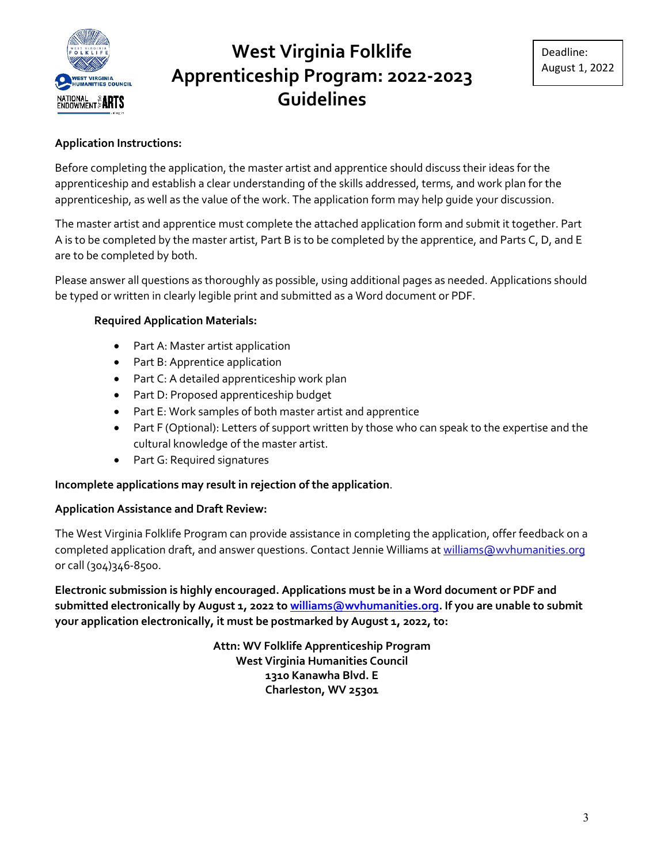

#### **Application Instructions:**

Before completing the application, the master artist and apprentice should discuss their ideas for the apprenticeship and establish a clear understanding of the skills addressed, terms, and work plan for the apprenticeship, as well as the value of the work. The application form may help guide your discussion.

The master artist and apprentice must complete the attached application form and submit it together. Part A is to be completed by the master artist, Part B is to be completed by the apprentice, and Parts C, D, and E are to be completed by both.

Please answer all questions as thoroughly as possible, using additional pages as needed. Applications should be typed or written in clearly legible print and submitted as a Word document or PDF.

#### **Required Application Materials:**

- Part A: Master artist application
- Part B: Apprentice application
- Part C: A detailed apprenticeship work plan
- Part D: Proposed apprenticeship budget
- Part E: Work samples of both master artist and apprentice
- Part F (Optional): Letters of support written by those who can speak to the expertise and the cultural knowledge of the master artist.
- Part G: Required signatures

#### **Incomplete applications may result in rejection of the application**.

#### **Application Assistance and Draft Review:**

The West Virginia Folklife Program can provide assistance in completing the application, offer feedback on a completed application draft, and answer questions. Contact Jennie Williams a[t williams@wvhumanities.org](mailto:williams@wvhumanities.org) or call (304)346-8500.

**Electronic submission is highly encouraged. Applications must be in a Word document or PDF and submitted electronically by August 1, 2022 to [williams@wvhumanities.org.](mailto:williams@wvhumanities.org) If you are unable to submit your application electronically, it must be postmarked by August 1, 2022, to:**

> **Attn: WV Folklife Apprenticeship Program West Virginia Humanities Council 1310 Kanawha Blvd. E Charleston, WV 25301**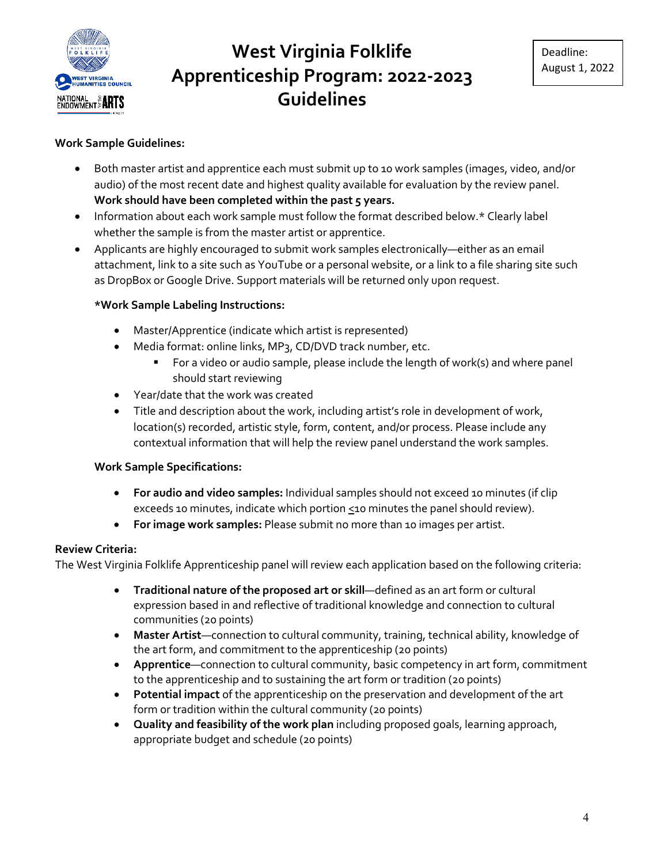

### **Work Sample Guidelines:**

- Both master artist and apprentice each must submit up to 10 work samples (images, video, and/or audio) of the most recent date and highest quality available for evaluation by the review panel. **Work should have been completed within the past 5 years.**
- Information about each work sample must follow the format described below.\* Clearly label whether the sample is from the master artist or apprentice.
- Applicants are highly encouraged to submit work samples electronically—either as an email attachment, link to a site such as YouTube or a personal website, or a link to a file sharing site such as DropBox or Google Drive. Support materials will be returned only upon request.

#### **\*Work Sample Labeling Instructions:**

- Master/Apprentice (indicate which artist is represented)
- Media format: online links, MP3, CD/DVD track number, etc.
	- **For a video or audio sample, please include the length of work(s) and where panel** should start reviewing
- Year/date that the work was created
- Title and description about the work, including artist's role in development of work, location(s) recorded, artistic style, form, content, and/or process. Please include any contextual information that will help the review panel understand the work samples.

#### **Work Sample Specifications:**

- **For audio and video samples:** Individual samples should not exceed 10 minutes (if clip exceeds 10 minutes, indicate which portion  $\leq$  10 minutes the panel should review).
- **For image work samples:** Please submit no more than 10 images per artist.

#### **Review Criteria:**

The West Virginia Folklife Apprenticeship panel will review each application based on the following criteria:

- **Traditional nature of the proposed art or skill**—defined as an art form or cultural expression based in and reflective of traditional knowledge and connection to cultural communities (20 points)
- **Master Artist**—connection to cultural community, training, technical ability, knowledge of the art form, and commitment to the apprenticeship (20 points)
- **Apprentice**—connection to cultural community, basic competency in art form, commitment to the apprenticeship and to sustaining the art form or tradition (20 points)
- **Potential impact** of the apprenticeship on the preservation and development of the art form or tradition within the cultural community (20 points)
- **Quality and feasibility of the work plan** including proposed goals, learning approach, appropriate budget and schedule (20 points)